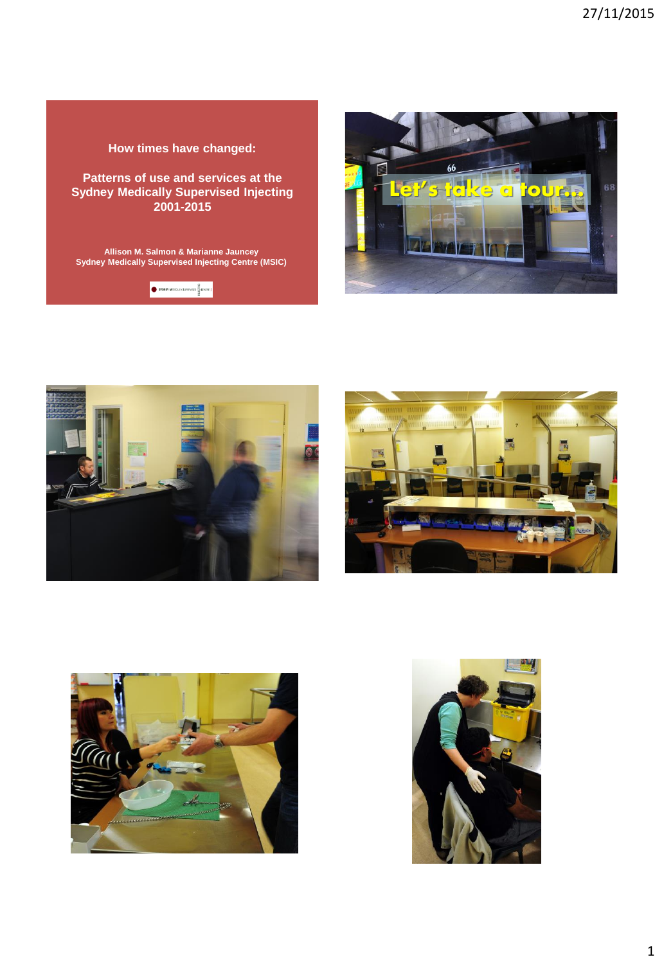### **How times have changed:**

**Patterns of use and services at the Sydney Medically Supervised Injecting 2001-2015** 

**Allison M. Salmon & Marianne Jauncey Sydney Medically Supervised Injecting Centre (MSIC)**











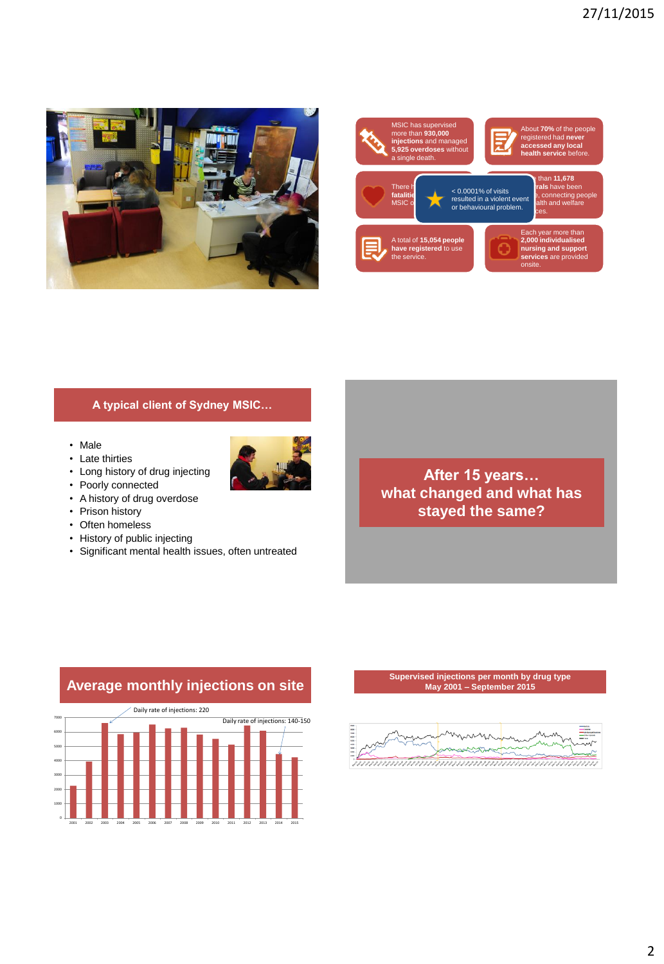



## **A typical client of Sydney MSIC…**

- Male
- Late thirties
- Long history of drug injecting
- Poorly connected
- A history of drug overdose
- Prison history
- Often homeless
- History of public injecting
- Significant mental health issues, often untreated



## **Average monthly injections on site** Daily rate of injections: 220



#### **Supervised injections per month by drug type May 2001 – September 2015**

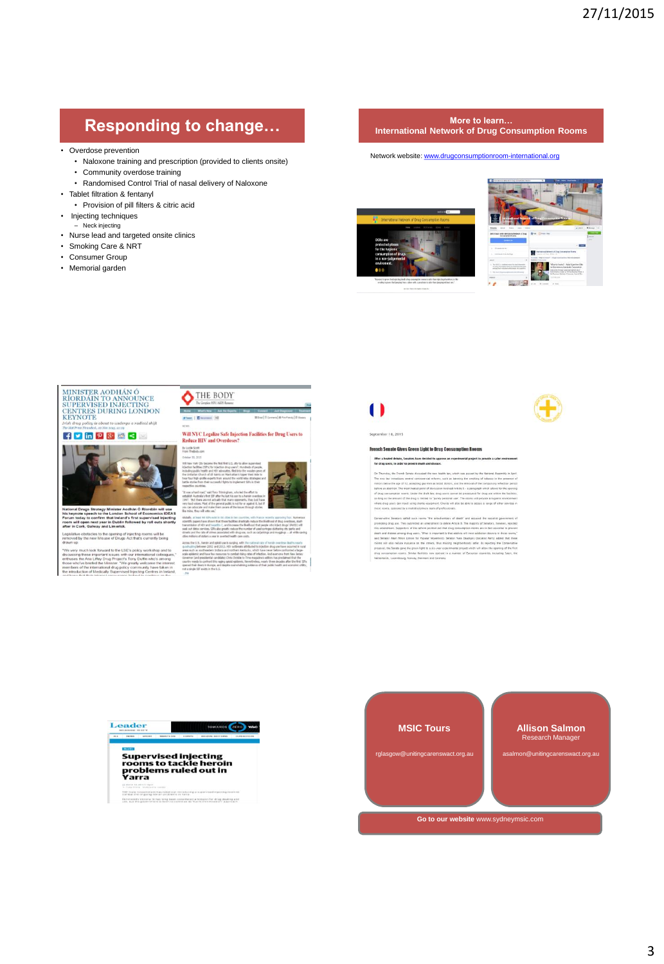# **Responding to change... More to learn...** More to learn...

- Overdose prevention
	- Naloxone training and prescription (provided to clients onsite) • Community overdose training
	- Randomised Control Trial of nasal delivery of Naloxone
- Tablet filtration & fentanyl
	- Provision of pill filters & citric acid
- Injecting techniques
- Neck injecting
- Nurse lead and targeted onsite clinics
- Smoking Care & NRT
- Consumer Group
- Memorial garden
- 
- 

# **International Network of Drug Consumption Rooms**

Network website: [www.drugconsumptionroom-international.org](http://www.drugconsumptionroom-international.org/)





MINISTER AODHÁN Ó<br>RÍORDÁIN TO ANNOUNCE<br>SUPERVISED INJECTING<br>CENTRES DURING LONDON<br>KEYNOTE about to undergo a radical shift

### $F P$  in  $P 8 8 8$



odhan Ó Ríordáin<br>School of Economi<br>d's first supervised<br>followed by roll ou

the opening of injec

with a<br>ct's Ti<br>Me m



Will NYC Legalize Safe Injection Facilities for Drug Users to<br>Reduce HIV and Overdoses?

By Locke Scott<br>From TheBody com



.<br>The U.S., hersin and opisid use is surging, with the<br>spin-p between 2002 and 2013. HDV outbreaks attri-<br>mich as another 18882

# $\blacksquare$

per 18, 2015

nch Senate Gives Green Light to Drug Conse

.<br>After a heated debate, Senators have decided to approve an ex<br>for drug users, in order to prevent death and disease.

trag use. They automited an amendment in delete Article D. The may<br>sent. Supporters of the reform pointed out that drug consumption ro<br>sease among thug users, "What is important is that addicts will mee<br>Alain Milim (Union



ē